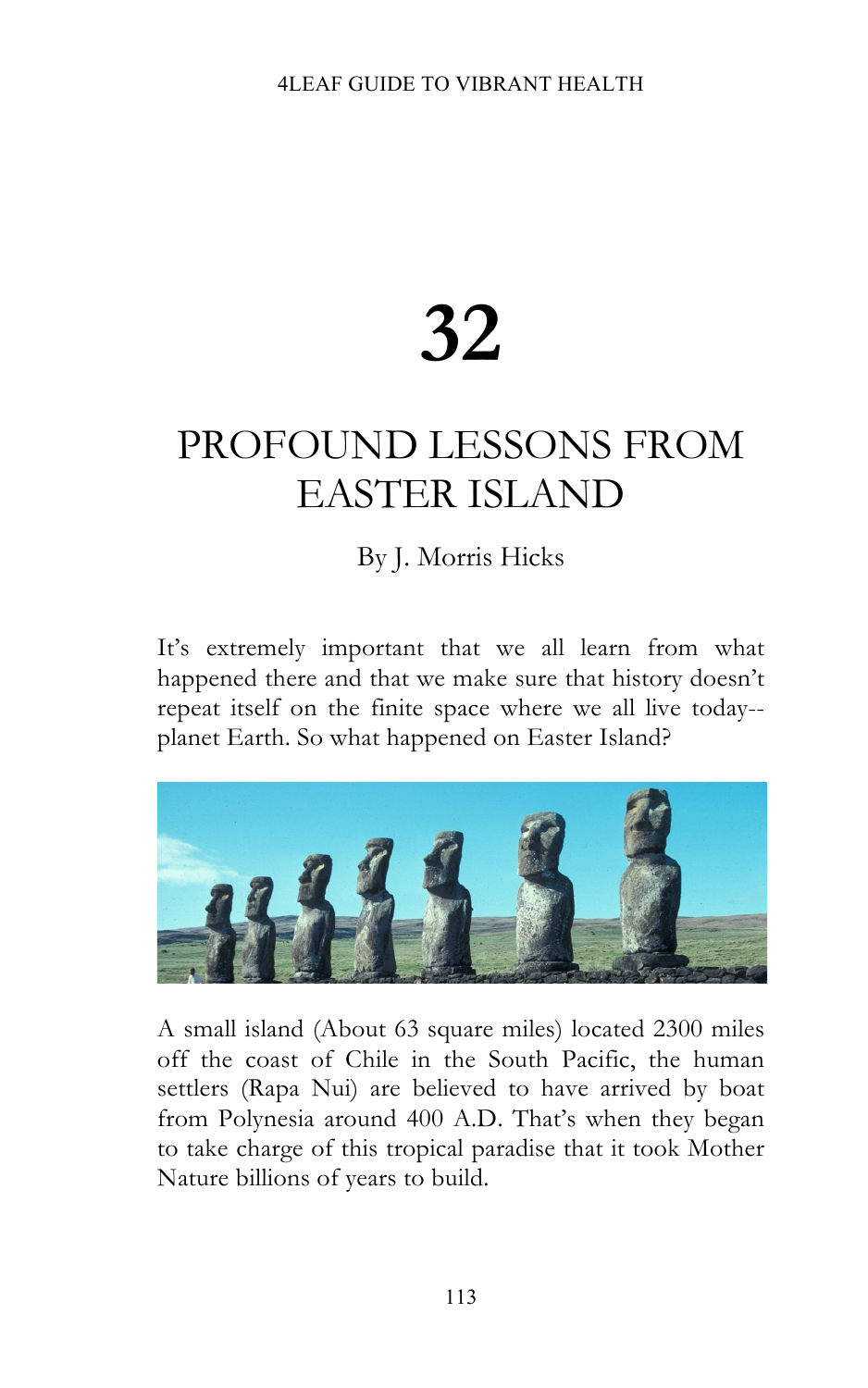## **32**

## PROFOUND LESSONS FROM EASTER ISLAND

## By J. Morris Hicks

It's extremely important that we all learn from what happened there and that we make sure that history doesn't repeat itself on the finite space where we all live today- planet Earth. So what happened on Easter Island?



A small island (About 63 square miles) located 2300 miles off the coast of Chile in the South Pacific, the human settlers (Rapa Nui) are believed to have arrived by boat from Polynesia around 400 A.D. That's when they began to take charge of this tropical paradise that it took Mother Nature billions of years to build.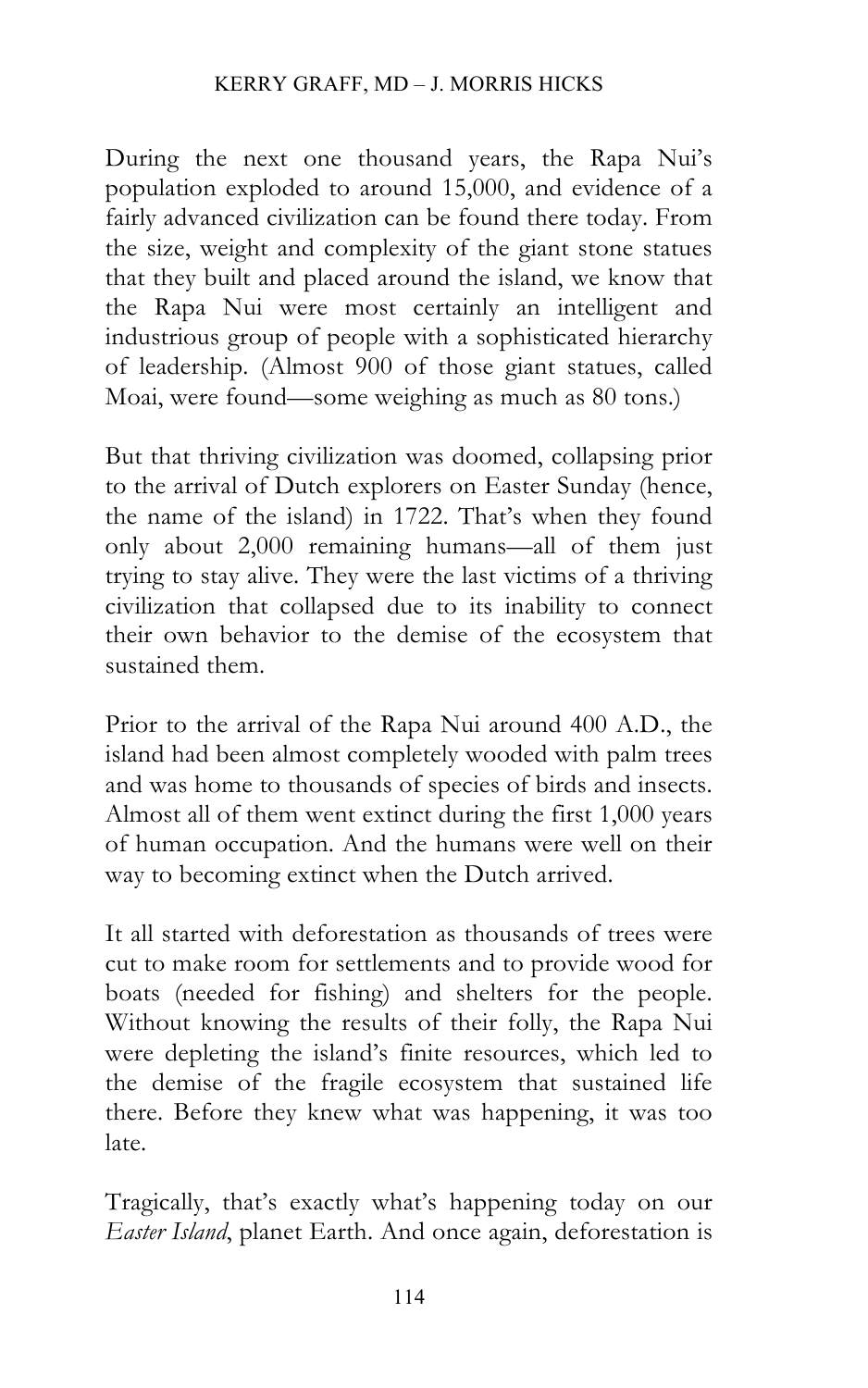During the next one thousand years, the Rapa Nui's population exploded to around 15,000, and evidence of a fairly advanced civilization can be found there today. From the size, weight and complexity of the giant stone statues that they built and placed around the island, we know that the Rapa Nui were most certainly an intelligent and industrious group of people with a sophisticated hierarchy of leadership. (Almost 900 of those giant statues, called Moai, were found—some weighing as much as 80 tons.)

But that thriving civilization was doomed, collapsing prior to the arrival of Dutch explorers on Easter Sunday (hence, the name of the island) in 1722. That's when they found only about 2,000 remaining humans—all of them just trying to stay alive. They were the last victims of a thriving civilization that collapsed due to its inability to connect their own behavior to the demise of the ecosystem that sustained them.

Prior to the arrival of the Rapa Nui around 400 A.D., the island had been almost completely wooded with palm trees and was home to thousands of species of birds and insects. Almost all of them went extinct during the first 1,000 years of human occupation. And the humans were well on their way to becoming extinct when the Dutch arrived.

It all started with deforestation as thousands of trees were cut to make room for settlements and to provide wood for boats (needed for fishing) and shelters for the people. Without knowing the results of their folly, the Rapa Nui were depleting the island's finite resources, which led to the demise of the fragile ecosystem that sustained life there. Before they knew what was happening, it was too late.

Tragically, that's exactly what's happening today on our *Easter Island*, planet Earth. And once again, deforestation is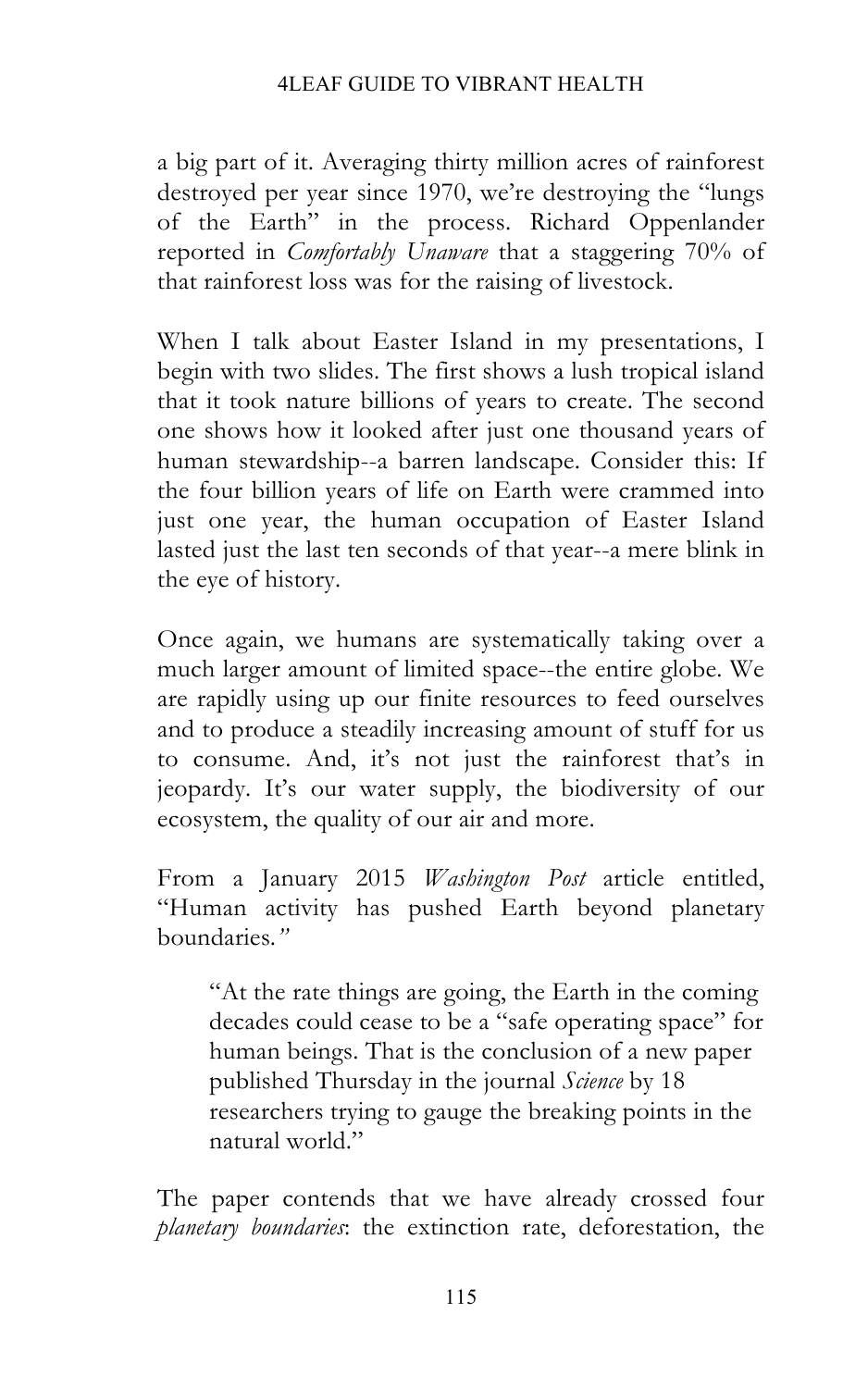a big part of it. Averaging thirty million acres of rainforest destroyed per year since 1970, we're destroying the "lungs of the Earth" in the process. Richard Oppenlander reported in *Comfortably Unaware* that a staggering 70% of that rainforest loss was for the raising of livestock.

When I talk about Easter Island in my presentations, I begin with two slides. The first shows a lush tropical island that it took nature billions of years to create. The second one shows how it looked after just one thousand years of human stewardship--a barren landscape. Consider this: If the four billion years of life on Earth were crammed into just one year, the human occupation of Easter Island lasted just the last ten seconds of that year--a mere blink in the eye of history.

Once again, we humans are systematically taking over a much larger amount of limited space--the entire globe. We are rapidly using up our finite resources to feed ourselves and to produce a steadily increasing amount of stuff for us to consume. And, it's not just the rainforest that's in jeopardy. It's our water supply, the biodiversity of our ecosystem, the quality of our air and more.

From a January 2015 *Washington Post* article entitled, "Human activity has pushed Earth beyond planetary boundaries*."*

"At the rate things are going, the Earth in the coming decades could cease to be a "safe operating space" for human beings. That is the conclusion of a new paper published Thursday in the journal *Science* by 18 researchers trying to gauge the breaking points in the natural world."

The paper contends that we have already crossed four *planetary boundaries*: the extinction rate, deforestation, the